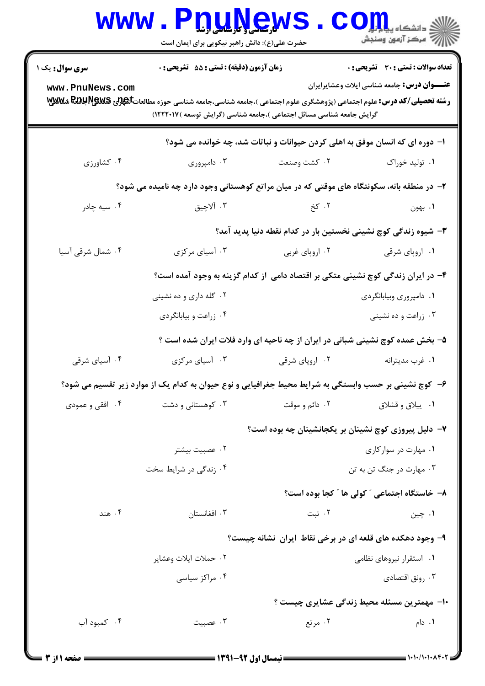|                                                                                                       | www.PnuNews<br>حضرت علی(ع): دانش راهبر نیکویی برای ایمان است                                                                                                                                                  |                                                                                 | ≦ دانشکاه پ <b>یا ب<sup>ا</sup> با<mark>ر</mark></b><br>ے<br>ایک مرکز آزمون وسنجش |  |  |
|-------------------------------------------------------------------------------------------------------|---------------------------------------------------------------------------------------------------------------------------------------------------------------------------------------------------------------|---------------------------------------------------------------------------------|-----------------------------------------------------------------------------------|--|--|
| سری سوال: یک ۱                                                                                        | زمان آزمون (دقیقه) : تستی : 55 آتشریحی : 0                                                                                                                                                                    |                                                                                 | تعداد سوالات : تستى : 30 ٪ تشريحي : 0                                             |  |  |
| www.PnuNews.com                                                                                       | <b>رشته تحصیلی/کد درس:</b> علوم اجتماعی (پژوهشگری علوم اجتماعی )،جامعه شناسی،جامعه شناسی حوزه مطالعاتگه <b>لوی REGU PEGS شلالایلا</b><br>گرایش جامعه شناسی مسائل اجتماعی )،جامعه شناسی (گرایش توسعه )۱۲۲۲۰۱۷) |                                                                                 | <b>عنـــوان درس:</b> جامعه شناسی ایلات وعشایرایران                                |  |  |
|                                                                                                       |                                                                                                                                                                                                               | ا– دوره ای که انسان موفق به اهلی کردن حیوانات و نباتات شد، چه خوانده می شود؟    |                                                                                   |  |  |
| ۰۴ کشاورزی                                                                                            | ۰۳ دامپروري                                                                                                                                                                                                   | ۰۲ كشت وصنعت                                                                    | ۰۱ تولید خوراک                                                                    |  |  |
| ۲- در منطقه بانه، سکونتگاه های موقتی که در میان مراتع کوهستانی وجود دارد چه نامیده می شود؟            |                                                                                                                                                                                                               |                                                                                 |                                                                                   |  |  |
| ۰۴ سیه چادر                                                                                           | ۰۳ آلاچيق                                                                                                                                                                                                     | ۲. کخ                                                                           | ۰۱ بهون                                                                           |  |  |
|                                                                                                       |                                                                                                                                                                                                               | ۳- شیوه زندگی کوچ نشینی نخستین بار در کدام نقطه دنیا پدید آمد؟                  |                                                                                   |  |  |
| ۰۴ شمال شرقی آسیا                                                                                     | ۰۳ آسیای مرکزی                                                                                                                                                                                                | ۰۲ اروپای غربی                                                                  | ۰۱ اروپای شرقی                                                                    |  |  |
|                                                                                                       |                                                                                                                                                                                                               | ۴– در ایران زندگی کوچ نشینی متکی بر اقتصاد دامی از کدام گزینه به وجود آمده است؟ |                                                                                   |  |  |
|                                                                                                       | ۰۲ گله داری و ده نشینی                                                                                                                                                                                        |                                                                                 | ٠١ دامپروري وبيابانگردي                                                           |  |  |
|                                                                                                       | ۰۴ زراعت و بیابانگردی                                                                                                                                                                                         |                                                                                 | ۰۳ زراعت و ده نشینی                                                               |  |  |
|                                                                                                       |                                                                                                                                                                                                               | ۵– بخش عمده کوچ نشینی شبانی در ایران از چه ناحیه ای وارد فلات ایران شده است ؟   |                                                                                   |  |  |
| ۰۴ آسیای شرقی                                                                                         | ۰۳ آسیای مرکزی                                                                                                                                                                                                | ۰۲ اروپای شرقی                                                                  | ۰۱ غرب مديترانه                                                                   |  |  |
| ۶– کوچ نشینی بر حسب وابستگی به شرایط محیط جغرافیایی و نوع حیوان به کدام یک از موارد زیر تقسیم می شود؟ |                                                                                                                                                                                                               |                                                                                 |                                                                                   |  |  |
| ۰۴ افقی و عمودی                                                                                       | ۰۳ کوهستانی و دشت                                                                                                                                                                                             | ۰۲ دائم و موقت                                                                  | ۰۱ ييلاق و قشلاق                                                                  |  |  |
|                                                                                                       | ۷– دلیل پیروزی کوچ نشینان بر یکجانشینان چه بوده است؟                                                                                                                                                          |                                                                                 |                                                                                   |  |  |
|                                                                                                       | ۰۲ عصبیت بیشتر                                                                                                                                                                                                |                                                                                 | ٠١ مهارت در سوار كارى                                                             |  |  |
|                                                                                                       | ۰۴ زندگی در شرایط سخت                                                                                                                                                                                         |                                                                                 | ۰۳ مهارت در جنگ تن به تن                                                          |  |  |
|                                                                                                       |                                                                                                                                                                                                               |                                                                                 | ۸- خاستگاه اجتماعی " کولی ها " کجا بوده است؟                                      |  |  |
| ۰۴ هند                                                                                                | ۰۳ افغانستان                                                                                                                                                                                                  | ۰۲ تبت                                                                          | ۰۱ چين                                                                            |  |  |
|                                                                                                       |                                                                                                                                                                                                               | ۹- وجود دهکده های قلعه ای در برخی نقاط ایران نشانه چیست؟                        |                                                                                   |  |  |
|                                                                                                       | ۰۲ حملات ايلات وعشاير                                                                                                                                                                                         |                                                                                 | ۰۱ استقرار نیروهای نظامی                                                          |  |  |
|                                                                                                       | ۰۴ مراکز سیاسی                                                                                                                                                                                                |                                                                                 | ۰۳ رونق اقتصادي                                                                   |  |  |
|                                                                                                       |                                                                                                                                                                                                               |                                                                                 | ۱۰– مهمترین مسئله محیط زندگی عشایری چیست ؟                                        |  |  |
| ۰۴ کمبود آب                                                                                           | ۰۳ عصبیت                                                                                                                                                                                                      | ۰۲ مرتع                                                                         | ۰۱ دام                                                                            |  |  |
|                                                                                                       |                                                                                                                                                                                                               |                                                                                 |                                                                                   |  |  |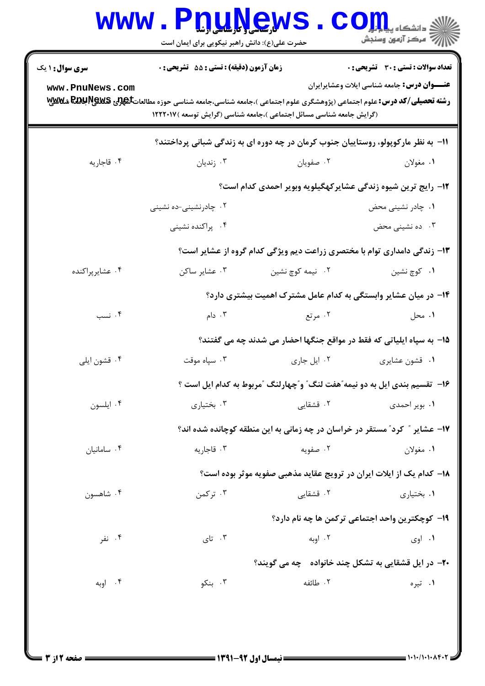|                                                              | <b>www . F</b><br><b>U.L.V.C.W</b><br>حضرت علی(ع): دانش راهبر نیکویی برای ایمان است                                                                                                                           |                                                                                   | $CO_{\frac{1}{2}}$ دانشگاه پی<br>رُ⁄ کرڪز آزمون وسنڊش   |  |
|--------------------------------------------------------------|---------------------------------------------------------------------------------------------------------------------------------------------------------------------------------------------------------------|-----------------------------------------------------------------------------------|---------------------------------------------------------|--|
| <b>سری سوال :</b> ۱ یک                                       | زمان آزمون (دقیقه) : تستی : 55 آتشریحی : 0                                                                                                                                                                    |                                                                                   | تعداد سوالات : تستي : 30 ٪ تشريحي : 0                   |  |
| www.PnuNews.com                                              | <b>رشته تحصیلی/کد درس:</b> علوم اجتماعی (پژوهشگری علوم اجتماعی )،جامعه شناسی،جامعه شناسی حوزه مطالعاتگه <b>لوی REGU PEGS شلالایلا</b><br>(گرایش جامعه شناسی مسائل اجتماعی )،جامعه شناسی (گرایش توسعه )۱۲۲۲۰۱۷ |                                                                                   | <b>عنـــوان درس:</b> جامعه شناسی ایلات وعشایرایران      |  |
|                                                              |                                                                                                                                                                                                               | 1۱– به نظر مارکوپولو، روستاییان جنوب کرمان در چه دوره ای به زندگی شبانی پرداختند؟ |                                                         |  |
| ۰۴ قاجاريه                                                   | ۰۳ زندیان                                                                                                                                                                                                     | ۰۲ صفویان                                                                         | ۰۱ مغولان                                               |  |
| ۱۲- رایج ترین شیوه زندگی عشایرکهگیلویه وبویر احمدی کدام است؟ |                                                                                                                                                                                                               |                                                                                   |                                                         |  |
|                                                              | ۰۲ چادرنشینی-ده نشینی                                                                                                                                                                                         |                                                                                   | ۰۱ چادر نشینی محض                                       |  |
|                                                              | ۰۴ پراکنده نشینی                                                                                                                                                                                              |                                                                                   | ۰۳ ده نشینی محض                                         |  |
|                                                              |                                                                                                                                                                                                               | ۱۳- زندگی دامداری توام با مختصری زراعت دیم ویژگی کدام گروه از عشایر است؟          |                                                         |  |
| ۰۴ عشايرپراكنده                                              | ۰۳ عشاير ساكن                                                                                                                                                                                                 | ۰۲ نیمه کوچ نشین                                                                  | ۰۱ کوچ نشین                                             |  |
|                                                              |                                                                                                                                                                                                               | ۱۴– در میان عشایر وابستگی به کدام عامل مشترک اهمیت بیشتری دارد؟                   |                                                         |  |
| ۰۴ نسب                                                       | ۰۳ دام $\cdot$                                                                                                                                                                                                | ۰۲ مرتع                                                                           | ۰۱ محل                                                  |  |
|                                                              |                                                                                                                                                                                                               | 1۵– به سپاه ایلیاتی که فقط در مواقع جنگها احضار می شدند چه می گفتند؟              |                                                         |  |
| ۰۴ قشون ايلي                                                 | ۰۳ سپاه موقت                                                                                                                                                                                                  | ٠٢ ايل جارى                                                                       | ۰۱ قشون عشايري                                          |  |
|                                                              |                                                                                                                                                                                                               | ۱۶- تقسیم بندی ایل به دو نیمه ّهفت لنگ ّ و ّچهارلنگ آمربوط به کدام ایل است ؟      |                                                         |  |
| ۰۴ ايلسون                                                    | ۰۳ بختیاری                                                                                                                                                                                                    | ۲. قشقایی                                                                         | ۰۱ بویر احمدی                                           |  |
|                                                              |                                                                                                                                                                                                               | ۱۷- عشایر ″ کرد″ مستقر در خراسان در چه زمانی به این منطقه کوچانده شده اند؟        |                                                         |  |
| ۰۴ سامانيان                                                  | ۰۳ قاجاریه                                                                                                                                                                                                    | ۰۲ صفویه                                                                          | ۰۱ مغولان                                               |  |
|                                                              |                                                                                                                                                                                                               | ۱۸- کدام یک از ایلات ایران در ترویج عقاید مذهبی صفویه موثر بوده است؟              |                                                         |  |
| ۰۴ شاهسون                                                    | ۰۳ ترکمن                                                                                                                                                                                                      | ۲. قشقایی                                                                         | ۰۱ بختیاری                                              |  |
|                                                              |                                                                                                                                                                                                               |                                                                                   | <b>۱۹</b> - کوچکترین واحد اجتماعی ترکمن ها چه نام دارد؟ |  |
| ۰۴ نفر                                                       | ۰۳ تای $\cdot$                                                                                                                                                                                                | ۰۲ اوبه                                                                           | ۰۱ اوی                                                  |  |
|                                                              |                                                                                                                                                                                                               | <b>۲۰</b> - در ایل قشقایی به تشکل چند خانواده هچه می گویند؟                       |                                                         |  |
| ۰۴ اوبه                                                      | ۰۳ بنکو                                                                                                                                                                                                       | ٢. طائفه                                                                          | ۰۱ تیره                                                 |  |
|                                                              |                                                                                                                                                                                                               |                                                                                   |                                                         |  |